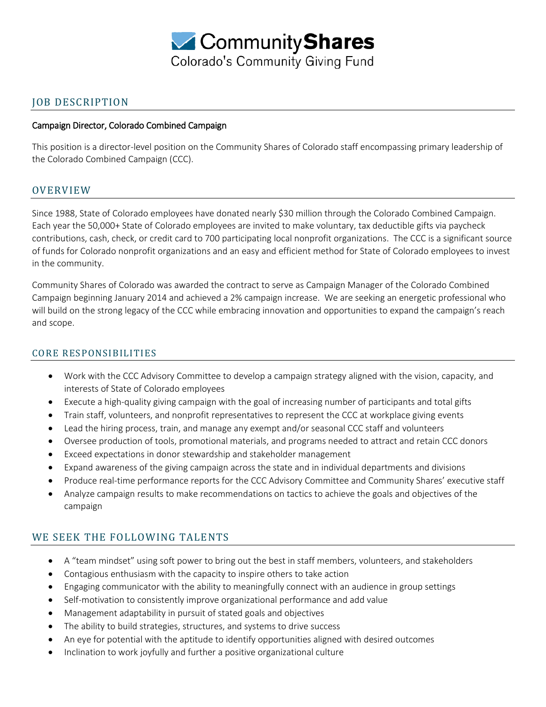

### JOB DESCRIPTION

#### Campaign Director, Colorado Combined Campaign

This position is a director-level position on the Community Shares of Colorado staff encompassing primary leadership of the Colorado Combined Campaign (CCC).

### OVERVIEW

Since 1988, State of Colorado employees have donated nearly \$30 million through the Colorado Combined Campaign. Each year the 50,000+ State of Colorado employees are invited to make voluntary, tax deductible gifts via paycheck contributions, cash, check, or credit card to 700 participating local nonprofit organizations. The CCC is a significant source of funds for Colorado nonprofit organizations and an easy and efficient method for State of Colorado employees to invest in the community.

Community Shares of Colorado was awarded the contract to serve as Campaign Manager of the Colorado Combined Campaign beginning January 2014 and achieved a 2% campaign increase. We are seeking an energetic professional who will build on the strong legacy of the CCC while embracing innovation and opportunities to expand the campaign's reach and scope.

#### CORE RESPONSIBILITIES

- Work with the CCC Advisory Committee to develop a campaign strategy aligned with the vision, capacity, and interests of State of Colorado employees
- Execute a high-quality giving campaign with the goal of increasing number of participants and total gifts
- Train staff, volunteers, and nonprofit representatives to represent the CCC at workplace giving events
- Lead the hiring process, train, and manage any exempt and/or seasonal CCC staff and volunteers
- Oversee production of tools, promotional materials, and programs needed to attract and retain CCC donors
- Exceed expectations in donor stewardship and stakeholder management
- Expand awareness of the giving campaign across the state and in individual departments and divisions
- Produce real-time performance reports for the CCC Advisory Committee and Community Shares' executive staff
- Analyze campaign results to make recommendations on tactics to achieve the goals and objectives of the campaign

## WE SEEK THE FOLLOWING TALENTS

- A "team mindset" using soft power to bring out the best in staff members, volunteers, and stakeholders
- Contagious enthusiasm with the capacity to inspire others to take action
- Engaging communicator with the ability to meaningfully connect with an audience in group settings
- Self-motivation to consistently improve organizational performance and add value
- Management adaptability in pursuit of stated goals and objectives
- The ability to build strategies, structures, and systems to drive success
- An eye for potential with the aptitude to identify opportunities aligned with desired outcomes
- Inclination to work joyfully and further a positive organizational culture